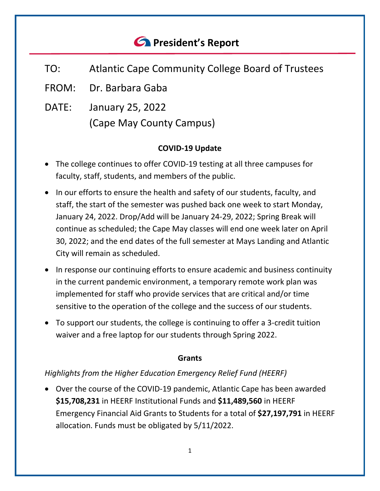# *<u>C* President's Report</u>

- TO: Atlantic Cape Community College Board of Trustees
- FROM: Dr. Barbara Gaba
- DATE: January 25, 2022 (Cape May County Campus)

## **COVID-19 Update**

- The college continues to offer COVID-19 testing at all three campuses for faculty, staff, students, and members of the public.
- In our efforts to ensure the health and safety of our students, faculty, and staff, the start of the semester was pushed back one week to start Monday, January 24, 2022. Drop/Add will be January 24-29, 2022; Spring Break will continue as scheduled; the Cape May classes will end one week later on April 30, 2022; and the end dates of the full semester at Mays Landing and Atlantic City will remain as scheduled.
- In response our continuing efforts to ensure academic and business continuity in the current pandemic environment, a temporary remote work plan was implemented for staff who provide services that are critical and/or time sensitive to the operation of the college and the success of our students.
- To support our students, the college is continuing to offer a 3-credit tuition waiver and a free laptop for our students through Spring 2022.

## **Grants**

# *Highlights from the Higher Education Emergency Relief Fund (HEERF)*

• Over the course of the COVID-19 pandemic, Atlantic Cape has been awarded **\$15,708,231** in HEERF Institutional Funds and **\$11,489,560** in HEERF Emergency Financial Aid Grants to Students for a total of **\$27,197,791** in HEERF allocation. Funds must be obligated by 5/11/2022.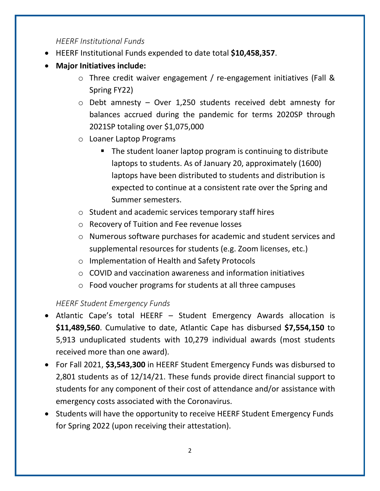## *HEERF Institutional Funds*

- HEERF Institutional Funds expended to date total **\$10,458,357**.
- **Major Initiatives include:**
	- o Three credit waiver engagement / re-engagement initiatives (Fall & Spring FY22)
	- $\circ$  Debt amnesty Over 1,250 students received debt amnesty for balances accrued during the pandemic for terms 2020SP through 2021SP totaling over \$1,075,000
	- o Loaner Laptop Programs
		- The student loaner laptop program is continuing to distribute laptops to students. As of January 20, approximately (1600) laptops have been distributed to students and distribution is expected to continue at a consistent rate over the Spring and Summer semesters.
	- o Student and academic services temporary staff hires
	- o Recovery of Tuition and Fee revenue losses
	- o Numerous software purchases for academic and student services and supplemental resources for students (e.g. Zoom licenses, etc.)
	- o Implementation of Health and Safety Protocols
	- o COVID and vaccination awareness and information initiatives
	- o Food voucher programs for students at all three campuses

# *HEERF Student Emergency Funds*

- Atlantic Cape's total HEERF Student Emergency Awards allocation is **\$11,489,560**. Cumulative to date, Atlantic Cape has disbursed **\$7,554,150** to 5,913 unduplicated students with 10,279 individual awards (most students received more than one award).
- For Fall 2021, **\$3,543,300** in HEERF Student Emergency Funds was disbursed to 2,801 students as of 12/14/21. These funds provide direct financial support to students for any component of their cost of attendance and/or assistance with emergency costs associated with the Coronavirus.
- Students will have the opportunity to receive HEERF Student Emergency Funds for Spring 2022 (upon receiving their attestation).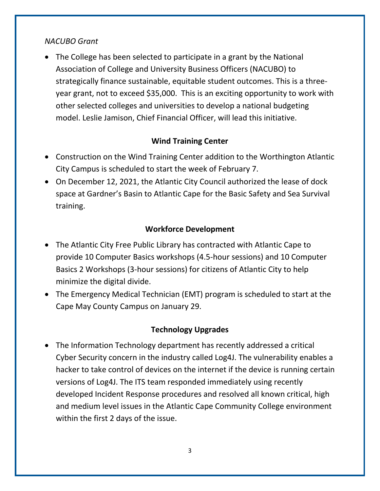#### *NACUBO Grant*

• The College has been selected to participate in a grant by the National Association of College and University Business Officers (NACUBO) to strategically finance sustainable, equitable student outcomes. This is a threeyear grant, not to exceed \$35,000. This is an exciting opportunity to work with other selected colleges and universities to develop a national budgeting model. Leslie Jamison, Chief Financial Officer, will lead this initiative.

## **Wind Training Center**

- Construction on the Wind Training Center addition to the Worthington Atlantic City Campus is scheduled to start the week of February 7.
- On December 12, 2021, the Atlantic City Council authorized the lease of dock space at Gardner's Basin to Atlantic Cape for the Basic Safety and Sea Survival training.

#### **Workforce Development**

- The Atlantic City Free Public Library has contracted with Atlantic Cape to provide 10 Computer Basics workshops (4.5-hour sessions) and 10 Computer Basics 2 Workshops (3-hour sessions) for citizens of Atlantic City to help minimize the digital divide.
- The Emergency Medical Technician (EMT) program is scheduled to start at the Cape May County Campus on January 29.

## **Technology Upgrades**

• The Information Technology department has recently addressed a critical Cyber Security concern in the industry called Log4J. The vulnerability enables a hacker to take control of devices on the internet if the device is running certain versions of Log4J. The ITS team responded immediately using recently developed Incident Response procedures and resolved all known critical, high and medium level issues in the Atlantic Cape Community College environment within the first 2 days of the issue.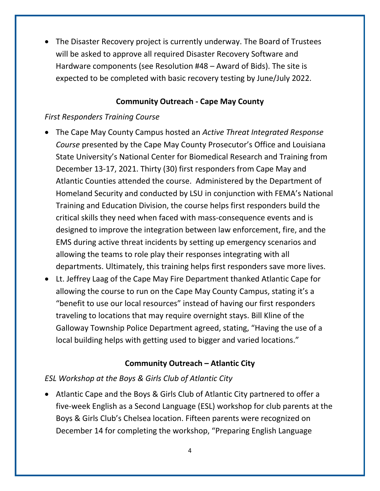• The Disaster Recovery project is currently underway. The Board of Trustees will be asked to approve all required Disaster Recovery Software and Hardware components (see Resolution #48 – Award of Bids). The site is expected to be completed with basic recovery testing by June/July 2022.

## **Community Outreach - Cape May County**

## *First Responders Training Course*

- The Cape May County Campus hosted an *Active Threat Integrated Response Course* presented by the Cape May County Prosecutor's Office and Louisiana State University's National Center for Biomedical Research and Training from December 13-17, 2021. Thirty (30) first responders from Cape May and Atlantic Counties attended the course. Administered by the Department of Homeland Security and conducted by LSU in conjunction with FEMA's National Training and Education Division, the course helps first responders build the critical skills they need when faced with mass-consequence events and is designed to improve the integration between law enforcement, fire, and the EMS during active threat incidents by setting up emergency scenarios and allowing the teams to role play their responses integrating with all departments. Ultimately, this training helps first responders save more lives.
- Lt. Jeffrey Laag of the Cape May Fire Department thanked Atlantic Cape for allowing the course to run on the Cape May County Campus, stating it's a "benefit to use our local resources" instead of having our first responders traveling to locations that may require overnight stays. Bill Kline of the Galloway Township Police Department agreed, stating, "Having the use of a local building helps with getting used to bigger and varied locations."

# **Community Outreach – Atlantic City**

## *ESL Workshop at the Boys & Girls Club of Atlantic City*

• Atlantic Cape and the Boys & Girls Club of Atlantic City partnered to offer a five-week English as a Second Language (ESL) workshop for club parents at the Boys & Girls Club's Chelsea location. Fifteen parents were recognized on December 14 for completing the workshop, "Preparing English Language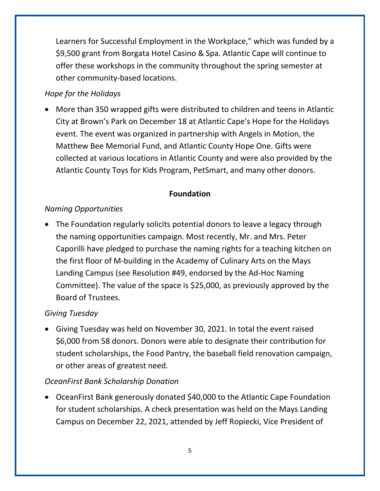Learners for Successful Employment in the Workplace," which was funded by a \$9,500 grant from Borgata Hotel Casino & Spa. Atlantic Cape will continue to offer these workshops in the community throughout the spring semester at other community-based locations.

## *Hope for the Holidays*

• More than 350 wrapped gifts were distributed to children and teens in Atlantic City at Brown's Park on December 18 at Atlantic Cape's Hope for the Holidays event. The event was organized in partnership with Angels in Motion, the Matthew Bee Memorial Fund, and Atlantic County Hope One. Gifts were collected at various locations in Atlantic County and were also provided by the Atlantic County Toys for Kids Program, PetSmart, and many other donors.

# **Foundation**

## *Naming Opportunities*

• The Foundation regularly solicits potential donors to leave a legacy through the naming opportunities campaign. Most recently, Mr. and Mrs. Peter Caporilli have pledged to purchase the naming rights for a teaching kitchen on the first floor of M-building in the Academy of Culinary Arts on the Mays Landing Campus (see Resolution #49, endorsed by the Ad-Hoc Naming Committee). The value of the space is \$25,000, as previously approved by the Board of Trustees.

## *Giving Tuesday*

• Giving Tuesday was held on November 30, 2021. In total the event raised \$6,000 from 58 donors. Donors were able to designate their contribution for student scholarships, the Food Pantry, the baseball field renovation campaign, or other areas of greatest need.

# *OceanFirst Bank Scholarship Donation*

• OceanFirst Bank generously donated \$40,000 to the Atlantic Cape Foundation for student scholarships. A check presentation was held on the Mays Landing Campus on December 22, 2021, attended by Jeff Ropiecki, Vice President of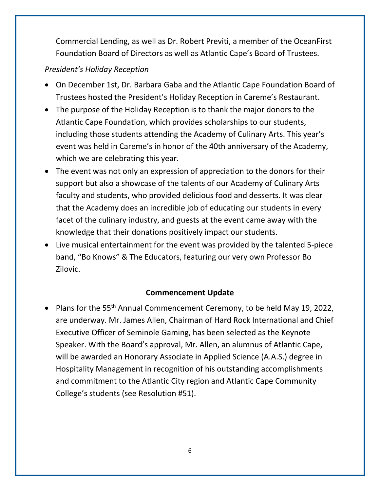Commercial Lending, as well as Dr. Robert Previti, a member of the OceanFirst Foundation Board of Directors as well as Atlantic Cape's Board of Trustees.

# *President's Holiday Reception*

- On December 1st, Dr. Barbara Gaba and the Atlantic Cape Foundation Board of Trustees hosted the President's Holiday Reception in Careme's Restaurant.
- The purpose of the Holiday Reception is to thank the major donors to the Atlantic Cape Foundation, which provides scholarships to our students, including those students attending the Academy of Culinary Arts. This year's event was held in Careme's in honor of the 40th anniversary of the Academy, which we are celebrating this year.
- The event was not only an expression of appreciation to the donors for their support but also a showcase of the talents of our Academy of Culinary Arts faculty and students, who provided delicious food and desserts. It was clear that the Academy does an incredible job of educating our students in every facet of the culinary industry, and guests at the event came away with the knowledge that their donations positively impact our students.
- Live musical entertainment for the event was provided by the talented 5-piece band, "Bo Knows" & The Educators, featuring our very own Professor Bo Zilovic.

# **Commencement Update**

• Plans for the 55<sup>th</sup> Annual Commencement Ceremony, to be held May 19, 2022, are underway. Mr. James Allen, Chairman of Hard Rock International and Chief Executive Officer of Seminole Gaming, has been selected as the Keynote Speaker. With the Board's approval, Mr. Allen, an alumnus of Atlantic Cape, will be awarded an Honorary Associate in Applied Science (A.A.S.) degree in Hospitality Management in recognition of his outstanding accomplishments and commitment to the Atlantic City region and Atlantic Cape Community College's students (see Resolution #51).